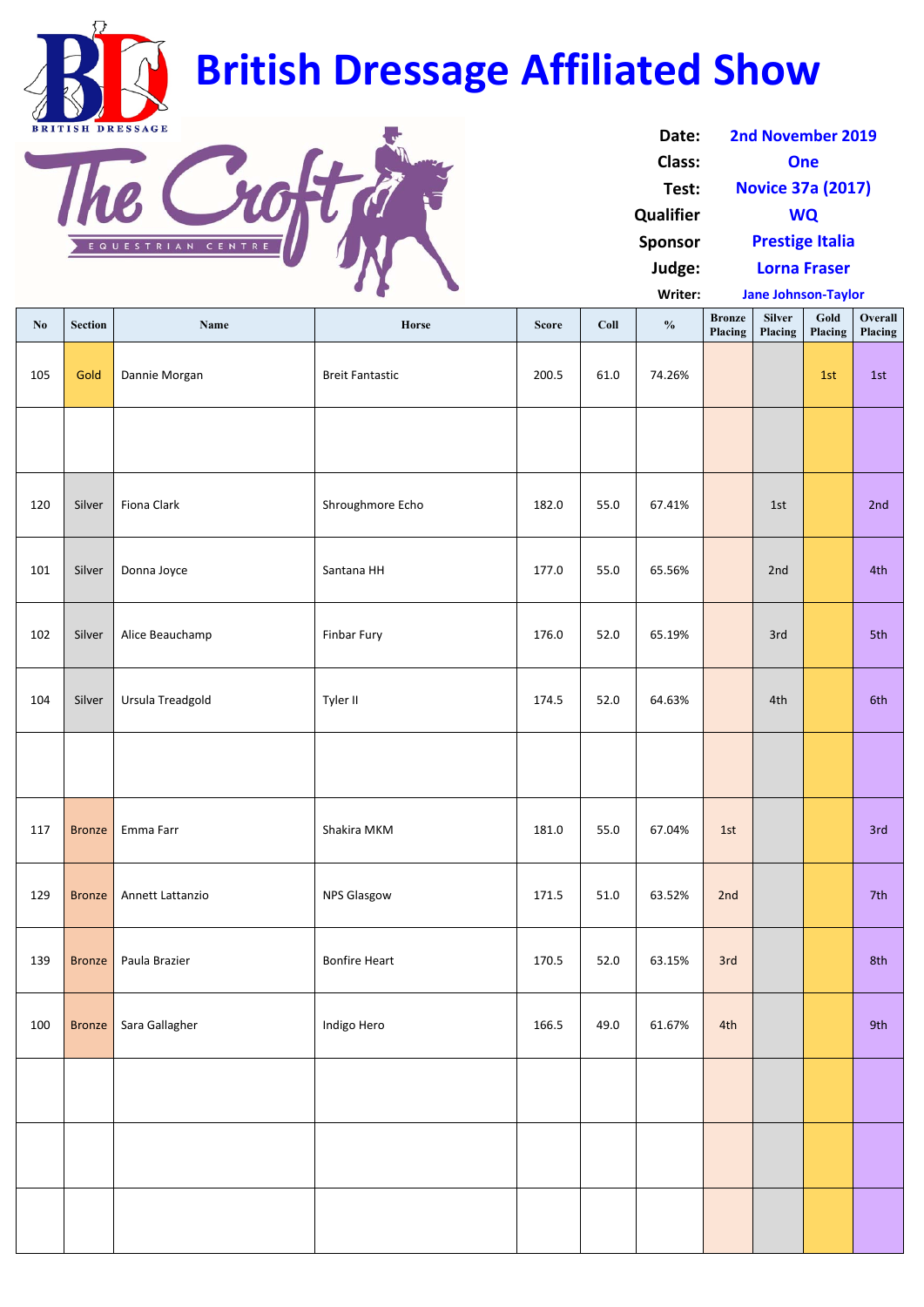| $\mathbf{N}\mathbf{0}$ | Section       | Name             | Horse                  | <b>Score</b> | Coll | $\frac{0}{0}$ | <b>Bronze</b><br>Placing | <b>Silver</b><br>Placing | Gold<br>Placing | Overall<br>Placing |
|------------------------|---------------|------------------|------------------------|--------------|------|---------------|--------------------------|--------------------------|-----------------|--------------------|
| 105                    | Gold          | Dannie Morgan    | <b>Breit Fantastic</b> | 200.5        | 61.0 | 74.26%        |                          |                          | 1st             | 1st                |
|                        |               |                  |                        |              |      |               |                          |                          |                 |                    |
| 120                    | Silver        | Fiona Clark      | Shroughmore Echo       | 182.0        | 55.0 | 67.41%        |                          | 1st                      |                 | 2nd                |
| 101                    | Silver        | Donna Joyce      | Santana HH             | 177.0        | 55.0 | 65.56%        |                          | 2nd                      |                 | 4th                |
| 102                    | Silver        | Alice Beauchamp  | Finbar Fury            | 176.0        | 52.0 | 65.19%        |                          | 3rd                      |                 | 5th                |
| 104                    | Silver        | Ursula Treadgold | Tyler II               | 174.5        | 52.0 | 64.63%        |                          | 4th                      |                 | 6th                |
|                        |               |                  |                        |              |      |               |                          |                          |                 |                    |
| 117                    | <b>Bronze</b> | Emma Farr        | Shakira MKM            | 181.0        | 55.0 | 67.04%        | 1st                      |                          |                 | 3rd                |
| 129                    | <b>Bronze</b> | Annett Lattanzio | <b>NPS Glasgow</b>     | 171.5        | 51.0 | 63.52%        | 2nd                      |                          |                 | 7th                |
| 139                    | <b>Bronze</b> | Paula Brazier    | <b>Bonfire Heart</b>   | 170.5        | 52.0 | 63.15%        | 3rd                      |                          |                 | 8th                |
| 100                    | <b>Bronze</b> | Sara Gallagher   | Indigo Hero            | 166.5        | 49.0 | 61.67%        | 4th                      |                          |                 | 9th                |
|                        |               |                  |                        |              |      |               |                          |                          |                 |                    |
|                        |               |                  |                        |              |      |               |                          |                          |                 |                    |
|                        |               |                  |                        |              |      |               |                          |                          |                 |                    |

**Writer: Jane Johnson‐Taylor**

| 2nd November 2019        |
|--------------------------|
| One                      |
| <b>Novice 37a (2017)</b> |
| <b>WQ</b>                |
| <b>Prestige Italia</b>   |
| <b>Lorna Fraser</b>      |
|                          |

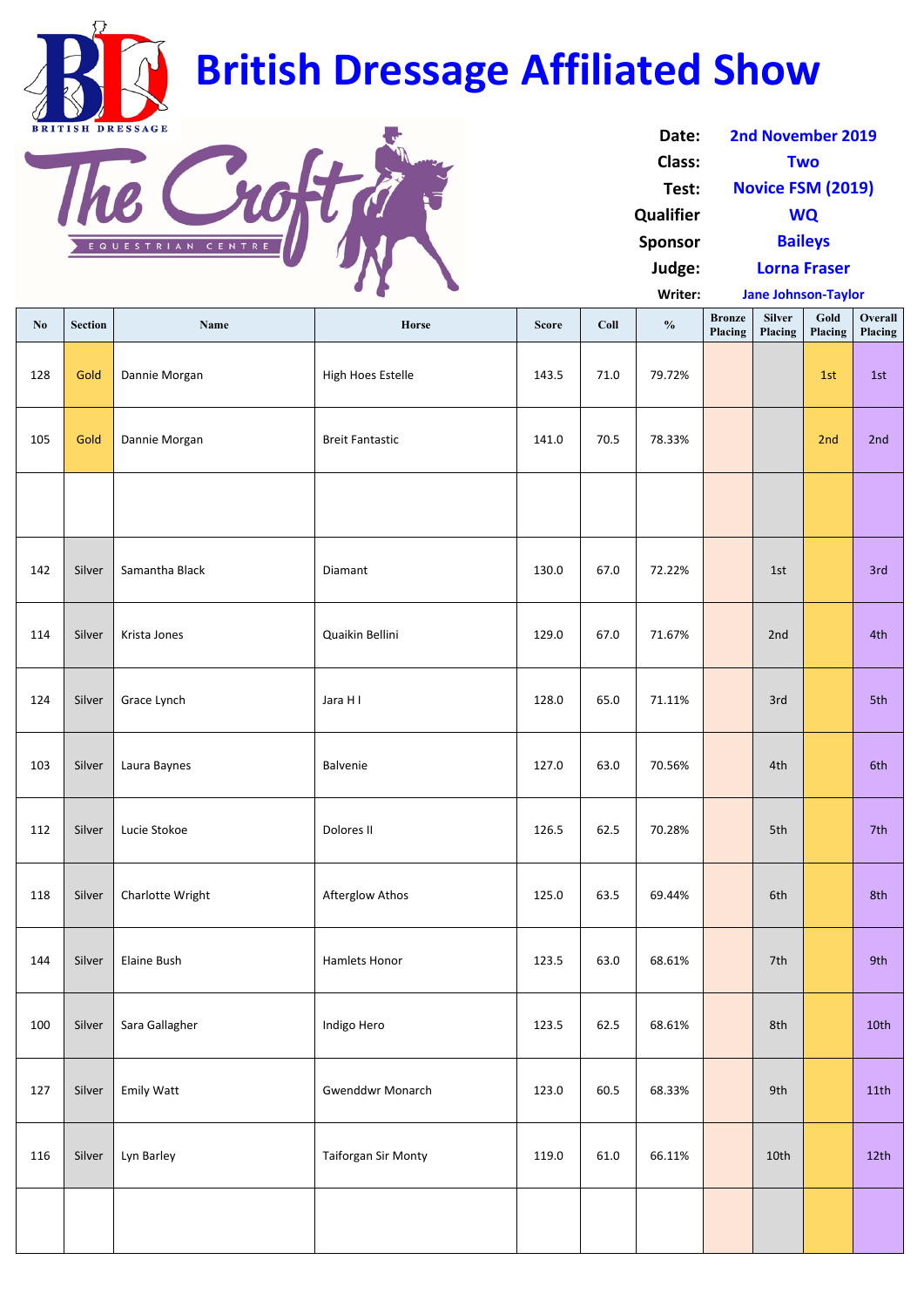| $\mathbf{N}\mathbf{0}$ | <b>Section</b> | Name               | Horse                      | <b>Score</b> | Coll     | $\frac{0}{0}$ | <b>Bronze</b><br>Placing | <b>Silver</b><br>Placing | Gold<br>Placing | Overall<br>Placing |
|------------------------|----------------|--------------------|----------------------------|--------------|----------|---------------|--------------------------|--------------------------|-----------------|--------------------|
| 128                    | Gold           | Dannie Morgan      | High Hoes Estelle          | 143.5        | $71.0\,$ | 79.72%        |                          |                          | 1st             | 1st                |
| 105                    | Gold           | Dannie Morgan      | <b>Breit Fantastic</b>     | 141.0        | 70.5     | 78.33%        |                          |                          | 2nd             | 2nd                |
|                        |                |                    |                            |              |          |               |                          |                          |                 |                    |
| 142                    | Silver         | Samantha Black     | Diamant                    | 130.0        | 67.0     | 72.22%        |                          | 1st                      |                 | 3rd                |
| 114                    | Silver         | Krista Jones       | Quaikin Bellini            | 129.0        | 67.0     | 71.67%        |                          | 2nd                      |                 | 4th                |
| 124                    | Silver         | Grace Lynch        | Jara H I                   | 128.0        | 65.0     | 71.11%        |                          | 3rd                      |                 | 5th                |
| 103                    | Silver         | Laura Baynes       | Balvenie                   | 127.0        | 63.0     | 70.56%        |                          | 4th                      |                 | 6th                |
| 112                    | Silver         | Lucie Stokoe       | Dolores II                 | 126.5        | 62.5     | 70.28%        |                          | 5th                      |                 | 7th                |
| 118                    | Silver         | Charlotte Wright   | Afterglow Athos            | 125.0        | 63.5     | 69.44%        |                          | 6th                      |                 | 8th                |
| 144                    | Silver         | <b>Elaine Bush</b> | Hamlets Honor              | 123.5        | 63.0     | 68.61%        |                          | 7th                      |                 | 9th                |
| 100                    | Silver         | Sara Gallagher     | Indigo Hero                | 123.5        | 62.5     | 68.61%        |                          | 8th                      |                 | 10th               |
| 127                    | Silver         | <b>Emily Watt</b>  | <b>Gwenddwr Monarch</b>    | 123.0        | 60.5     | 68.33%        |                          | 9th                      |                 | 11th               |
| 116                    | Silver         | Lyn Barley         | <b>Taiforgan Sir Monty</b> | 119.0        | 61.0     | 66.11%        |                          | 10th                     |                 | 12th               |
|                        |                |                    |                            |              |          |               |                          |                          |                 |                    |

**Writer: Jane Johnson‐Taylor**

| Date:            | <b>2nd November 2019</b> |
|------------------|--------------------------|
| <b>Class:</b>    | Two                      |
| Test:            | <b>Novice FSM (2019)</b> |
| <b>Qualifier</b> | <b>WQ</b>                |
| <b>Sponsor</b>   | <b>Baileys</b>           |
| Judge:           | <b>Lorna Fraser</b>      |

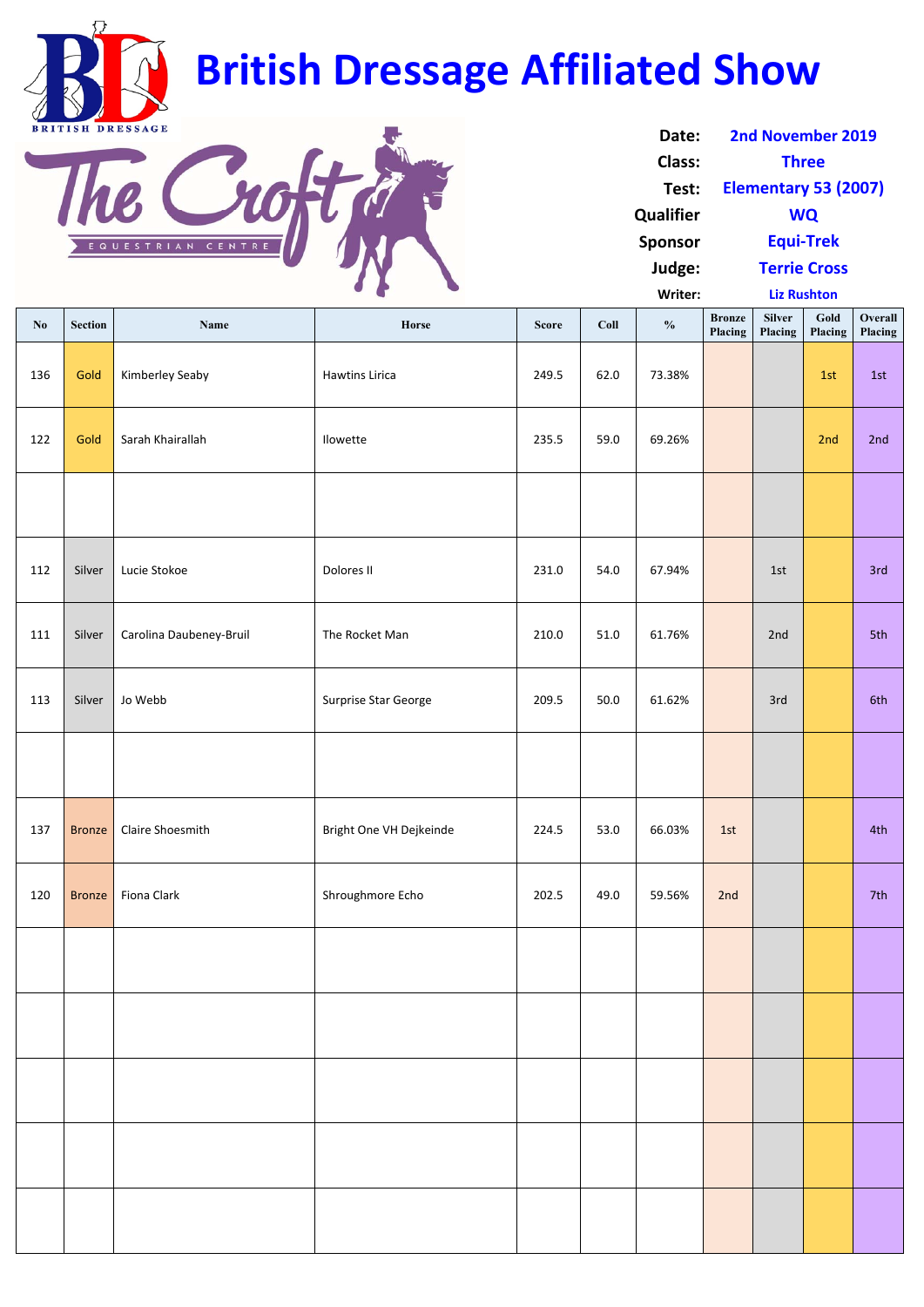| No  | <b>Section</b> | Name                    | Horse                   | <b>Score</b> | Coll | $\frac{0}{0}$ | <b>Bronze</b><br>Placing | <b>Silver</b><br>Placing | Gold<br>Placing | Overall<br>Placing |
|-----|----------------|-------------------------|-------------------------|--------------|------|---------------|--------------------------|--------------------------|-----------------|--------------------|
| 136 | Gold           | Kimberley Seaby         | <b>Hawtins Lirica</b>   | 249.5        | 62.0 | 73.38%        |                          |                          | 1st             | 1st                |
| 122 | Gold           | Sarah Khairallah        | Ilowette                | 235.5        | 59.0 | 69.26%        |                          |                          | 2nd             | 2nd                |
|     |                |                         |                         |              |      |               |                          |                          |                 |                    |
| 112 | Silver         | Lucie Stokoe            | Dolores II              | 231.0        | 54.0 | 67.94%        |                          | 1st                      |                 | 3rd                |
| 111 | Silver         | Carolina Daubeney-Bruil | The Rocket Man          | 210.0        | 51.0 | 61.76%        |                          | 2nd                      |                 | 5th                |
| 113 | Silver         | Jo Webb                 | Surprise Star George    | 209.5        | 50.0 | 61.62%        |                          | 3rd                      |                 | 6th                |
|     |                |                         |                         |              |      |               |                          |                          |                 |                    |
| 137 | <b>Bronze</b>  | Claire Shoesmith        | Bright One VH Dejkeinde | 224.5        | 53.0 | 66.03%        | 1st                      |                          |                 | 4th                |
| 120 |                | Bronze   Fiona Clark    | Shroughmore Echo        | 202.5        | 49.0 | 59.56%        | 2nd                      |                          |                 | 7th                |
|     |                |                         |                         |              |      |               |                          |                          |                 |                    |

| Date:          | 2nd November 2019           |
|----------------|-----------------------------|
| Class:         | <b>Three</b>                |
| Test:          | <b>Elementary 53 (2007)</b> |
| Qualifier      | <b>WQ</b>                   |
| <b>Sponsor</b> | <b>Equi-Trek</b>            |
| Judge:         | <b>Terrie Cross</b>         |
| Writer:        | <b>Liz Rushton</b>          |

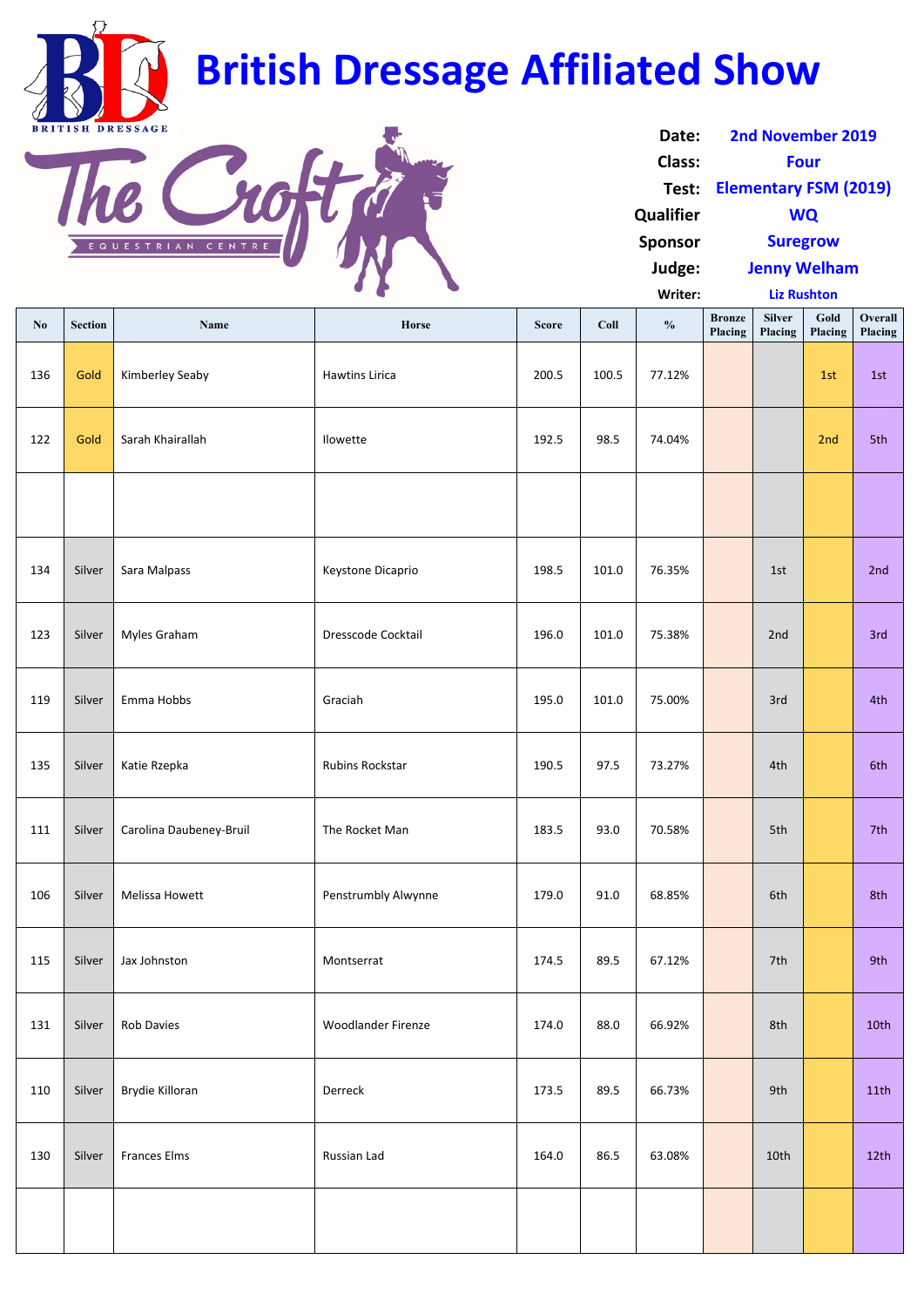|                        |                |                         | $\sim$ $\sigma$        |              |       | Writer:       |                          | <b>Liz Rushton</b>       |                 |                    |
|------------------------|----------------|-------------------------|------------------------|--------------|-------|---------------|--------------------------|--------------------------|-----------------|--------------------|
| $\mathbf{N}\mathbf{0}$ | <b>Section</b> | Name                    | Horse                  | <b>Score</b> | Coll  | $\frac{0}{0}$ | <b>Bronze</b><br>Placing | <b>Silver</b><br>Placing | Gold<br>Placing | Overall<br>Placing |
| 136                    | Gold           | Kimberley Seaby         | <b>Hawtins Lirica</b>  | 200.5        | 100.5 | 77.12%        |                          |                          | 1st             | 1st                |
| 122                    | Gold           | Sarah Khairallah        | Ilowette               | 192.5        | 98.5  | 74.04%        |                          |                          | 2nd             | 5th                |
|                        |                |                         |                        |              |       |               |                          |                          |                 |                    |
| 134                    | Silver         | Sara Malpass            | Keystone Dicaprio      | 198.5        | 101.0 | 76.35%        |                          | 1st                      |                 | 2nd                |
| 123                    | Silver         | Myles Graham            | Dresscode Cocktail     | 196.0        | 101.0 | 75.38%        |                          | 2nd                      |                 | 3rd                |
| 119                    | Silver         | Emma Hobbs              | Graciah                | 195.0        | 101.0 | 75.00%        |                          | 3rd                      |                 | 4th                |
| 135                    | Silver         | Katie Rzepka            | <b>Rubins Rockstar</b> | 190.5        | 97.5  | 73.27%        |                          | 4th                      |                 | 6th                |
| 111                    | Silver         | Carolina Daubeney-Bruil | The Rocket Man         | 183.5        | 93.0  | 70.58%        |                          | 5th                      |                 | 7th                |
| 106                    | Silver         | Melissa Howett          | Penstrumbly Alwynne    | 179.0        | 91.0  | 68.85%        |                          | 6th                      |                 | 8th                |
| 115                    | Silver         | Jax Johnston            | Montserrat             | 174.5        | 89.5  | 67.12%        |                          | 7th                      |                 | 9th                |

| Date:          | <b>2nd November 2019</b>     |
|----------------|------------------------------|
| Class:         | <b>Four</b>                  |
| Test:          | <b>Elementary FSM (2019)</b> |
| Qualifier      | <b>WQ</b>                    |
| <b>Sponsor</b> | <b>Suregrow</b>              |
| Judge:         | <b>Jenny Welham</b>          |
|                |                              |

| 131 | Silver | <b>Rob Davies</b>   | <b>Woodlander Firenze</b> | 174.0 | 88.0 | 66.92% | 8th  | 10th |
|-----|--------|---------------------|---------------------------|-------|------|--------|------|------|
| 110 | Silver | Brydie Killoran     | Derreck                   | 173.5 | 89.5 | 66.73% | 9th  | 11th |
| 130 | Silver | <b>Frances Elms</b> | Russian Lad               | 164.0 | 86.5 | 63.08% | 10th | 12th |
|     |        |                     |                           |       |      |        |      |      |



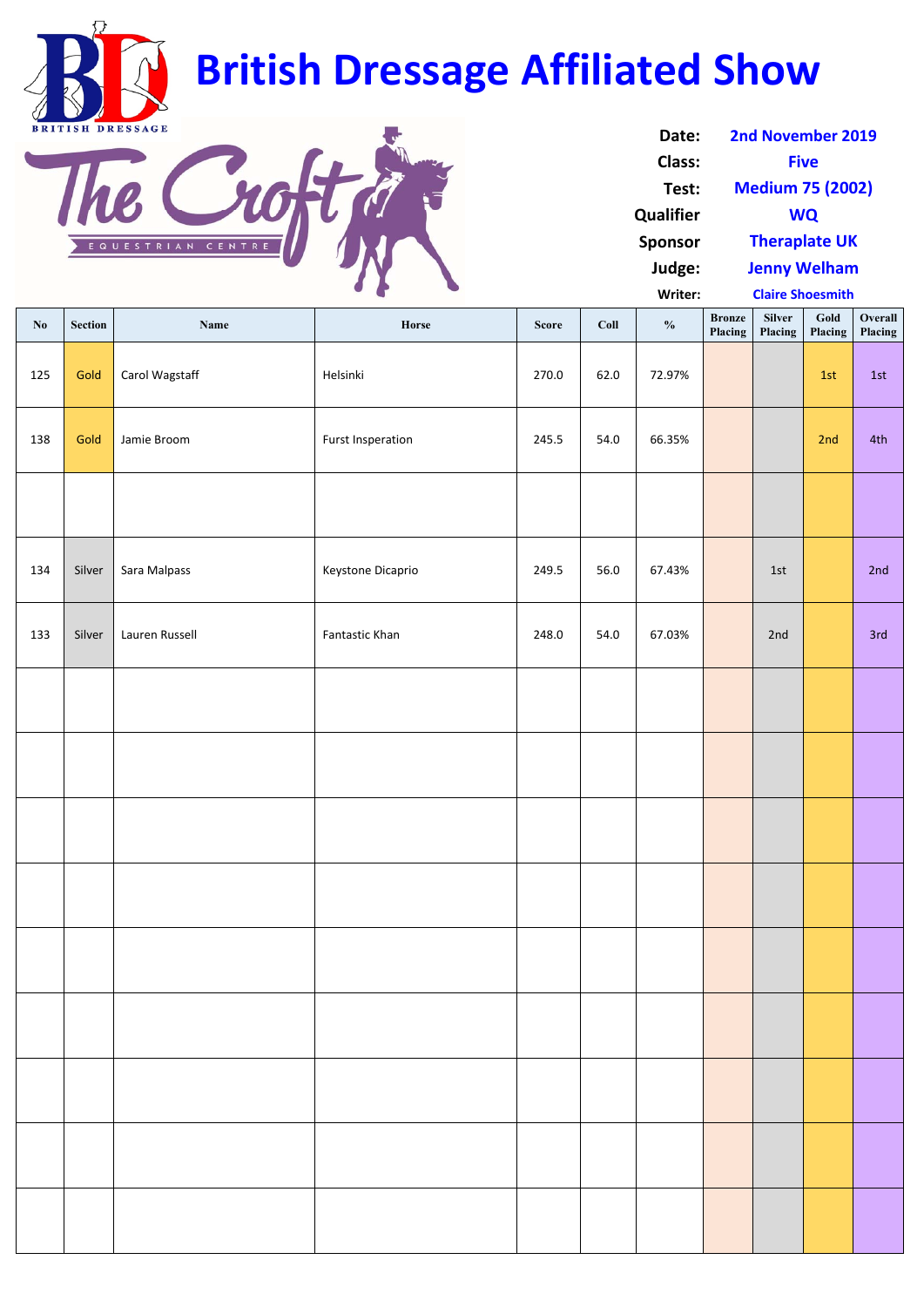| $\mathbf{N}\mathbf{0}$ | <b>Section</b> | Name           | Horse                    | <b>Score</b> | Coll | $\frac{0}{0}$ | <b>Bronze</b><br><b>Placing</b> | Silver<br>Placing | Gold<br>Placing | Overall<br>Placing |
|------------------------|----------------|----------------|--------------------------|--------------|------|---------------|---------------------------------|-------------------|-----------------|--------------------|
| 125                    | Gold           | Carol Wagstaff | Helsinki                 | 270.0        | 62.0 | 72.97%        |                                 |                   | 1st             | 1st                |
| 138                    | Gold           | Jamie Broom    | <b>Furst Insperation</b> | 245.5        | 54.0 | 66.35%        |                                 |                   | 2nd             | 4th                |
|                        |                |                |                          |              |      |               |                                 |                   |                 |                    |
| 134                    | Silver         | Sara Malpass   | Keystone Dicaprio        | 249.5        | 56.0 | 67.43%        |                                 | 1st               |                 | 2nd                |
| 133                    | Silver         | Lauren Russell | Fantastic Khan           | 248.0        | 54.0 | 67.03%        |                                 | 2nd               |                 | 3rd                |
|                        |                |                |                          |              |      |               |                                 |                   |                 |                    |
|                        |                |                |                          |              |      |               |                                 |                   |                 |                    |
|                        |                |                |                          |              |      |               |                                 |                   |                 |                    |
|                        |                |                |                          |              |      |               |                                 |                   |                 |                    |
|                        |                |                |                          |              |      |               |                                 |                   |                 |                    |
|                        |                |                |                          |              |      |               |                                 |                   |                 |                    |
|                        |                |                |                          |              |      |               |                                 |                   |                 |                    |
|                        |                |                |                          |              |      |               |                                 |                   |                 |                    |
|                        |                |                |                          |              |      |               |                                 |                   |                 |                    |

| Date:            | 2nd November 2019       |
|------------------|-------------------------|
| <b>Class:</b>    | <b>Five</b>             |
| Test:            | <b>Medium 75 (2002)</b> |
| <b>Qualifier</b> | <b>WQ</b>               |
| <b>Sponsor</b>   | <b>Theraplate UK</b>    |
| Judge:           | <b>Jenny Welham</b>     |
| Writer:          | <b>Claire Shoesmith</b> |